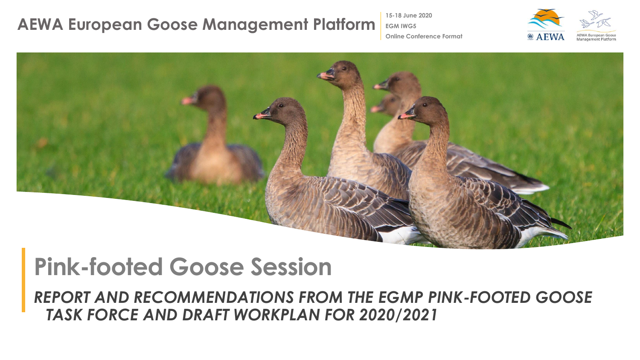**15-18 June 2020**

**EGM IWG5**

**Online Conference Format**



### **Pink-footed Goose Session**

*REPORT AND RECOMMENDATIONS FROM THE EGMP PINK-FOOTED GOOSE TASK FORCE AND DRAFT WORKPLAN FOR 2020/2021*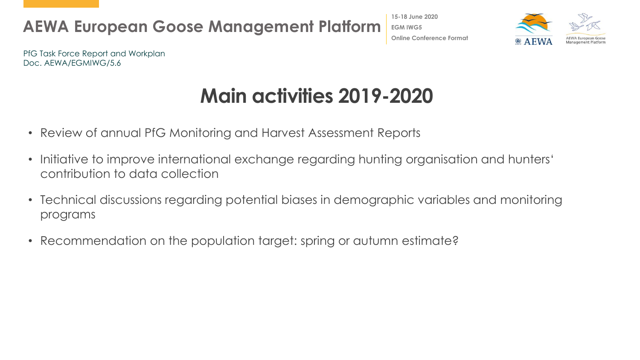**15-18 June 2020 EGM IWG5 Online Conference Format**



PfG Task Force Report and Workplan Doc. AEWA/EGMIWG/5.6

# **Main activities 2019-2020**

- Review of annual PfG Monitoring and Harvest Assessment Reports
- Initiative to improve international exchange regarding hunting organisation and hunters' contribution to data collection
- Technical discussions regarding potential biases in demographic variables and monitoring programs
- Recommendation on the population target: spring or autumn estimate?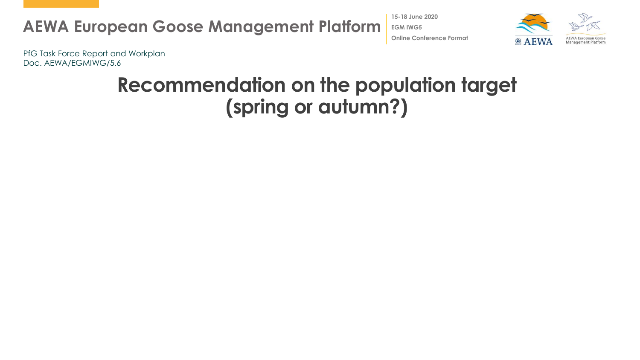**15-18 June 2020 EGM IWG5 Online Conference Format**



PfG Task Force Report and Workplan Doc. AEWA/EGMIWG/5.6

### **Recommendation on the population target (spring or autumn?)**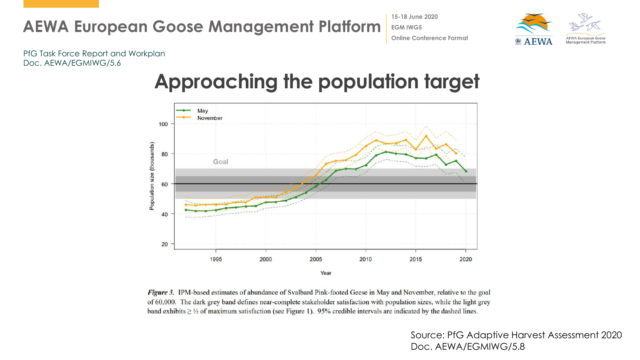**15-18 June 2020 EGM IWG5 Online Conference Format**



PfG Task Force Report and Workplan Doc. AEWA/EGMIWG/5.6

#### **Approaching the population target**



Figure 3. IPM-based estimates of abundance of Svalbard Pink-footed Geese in May and November, relative to the goal of 60,000. The dark grey band defines near-complete stakeholder satisfaction with population sizes, while the light grey band exhibits  $\geq$  1/2 of maximum satisfaction (see Figure 1). 95% credible intervals are indicated by the dashed lines.

> Source: PfG Adaptive Harvest Assessment 2020 Doc. AEWA/EGMIWG/5.8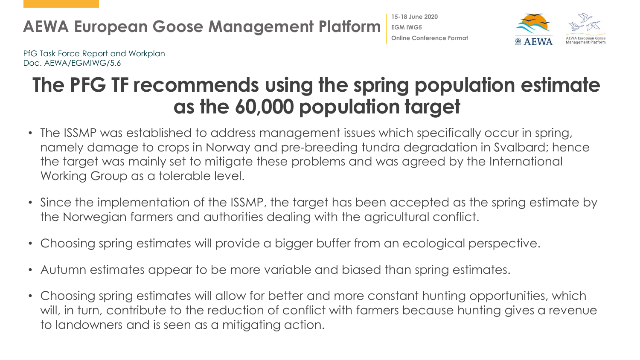PfG Task Force Report and Workplan Doc. AEWA/EGMIWG/5.6

### **The PFG TF recommends using the spring population estimate as the 60,000 population target**

**15-18 June 2020 EGM IWG5**

**Online Conference Format**

- The ISSMP was established to address management issues which specifically occur in spring, namely damage to crops in Norway and pre-breeding tundra degradation in Svalbard; hence the target was mainly set to mitigate these problems and was agreed by the International Working Group as a tolerable level.
- Since the implementation of the ISSMP, the target has been accepted as the spring estimate by the Norwegian farmers and authorities dealing with the agricultural conflict.
- Choosing spring estimates will provide a bigger buffer from an ecological perspective.
- Autumn estimates appear to be more variable and biased than spring estimates.
- Choosing spring estimates will allow for better and more constant hunting opportunities, which will, in turn, contribute to the reduction of conflict with farmers because hunting gives a revenue to landowners and is seen as a mitigating action.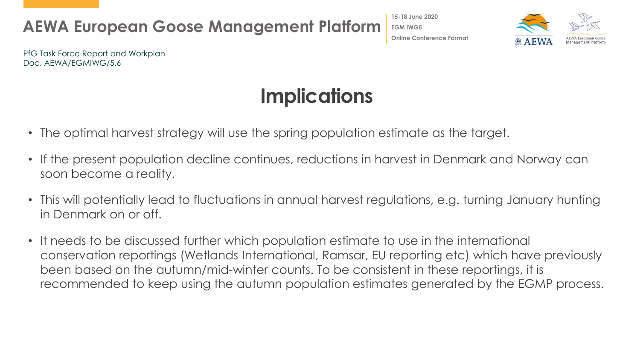



PfG Task Force Report and Workplan Doc. AEWA/EGMIWG/5.6

## **Implications**

- The optimal harvest strategy will use the spring population estimate as the target.
- If the present population decline continues, reductions in harvest in Denmark and Norway can soon become a reality.
- This will potentially lead to fluctuations in annual harvest regulations, e.g. turning January hunting in Denmark on or off.
- It needs to be discussed further which population estimate to use in the international conservation reportings (Wetlands International, Ramsar, EU reporting etc) which have previously been based on the autumn/mid-winter counts. To be consistent in these reportings, it is recommended to keep using the autumn population estimates generated by the EGMP process.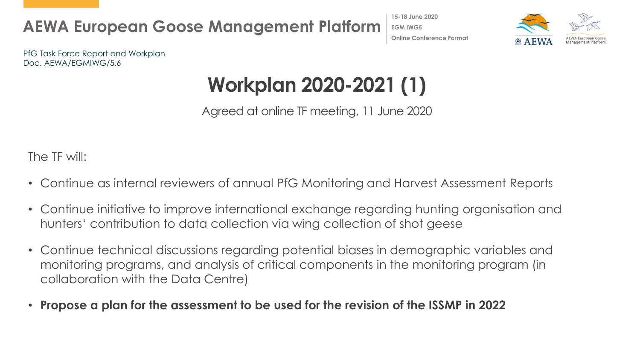



PfG Task Force Report and Workplan Doc. AEWA/EGMIWG/5.6

# **Workplan 2020-2021 (1)**

Agreed at online TF meeting, 11 June 2020

The TF will:

- Continue as internal reviewers of annual PfG Monitoring and Harvest Assessment Reports
- Continue initiative to improve international exchange regarding hunting organisation and hunters' contribution to data collection via wing collection of shot geese
- Continue technical discussions regarding potential biases in demographic variables and monitoring programs, and analysis of critical components in the monitoring program (in collaboration with the Data Centre)
- **Propose a plan for the assessment to be used for the revision of the ISSMP in 2022**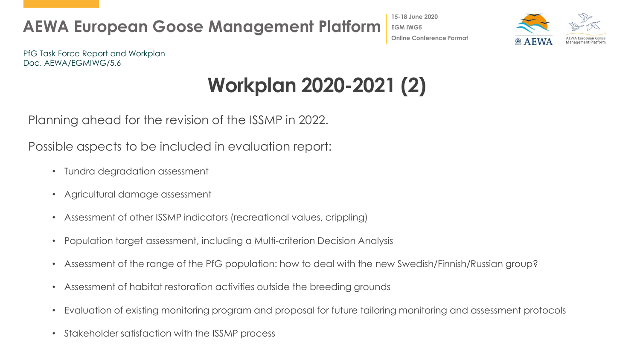



PfG Task Force Report and Workplan Doc. AEWA/EGMIWG/5.6

# **Workplan 2020-2021 (2)**

Planning ahead for the revision of the ISSMP in 2022.

Possible aspects to be included in evaluation report:

- Tundra degradation assessment
- Agricultural damage assessment
- Assessment of other ISSMP indicators (recreational values, crippling)
- Population target assessment, including a Multi-criterion Decision Analysis
- Assessment of the range of the PfG population: how to deal with the new Swedish/Finnish/Russian group?
- Assessment of habitat restoration activities outside the breeding grounds
- Evaluation of existing monitoring program and proposal for future tailoring monitoring and assessment protocols
- Stakeholder satisfaction with the ISSMP process